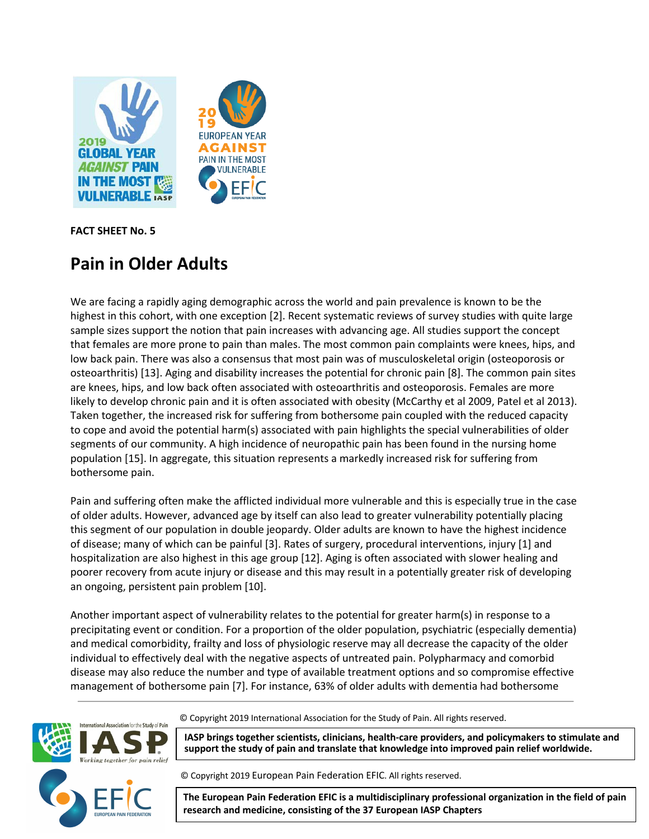

**FACT SHEET No. 5**

# **Pain in Older Adults**

We are facing a rapidly aging demographic across the world and pain prevalence is known to be the highest in this cohort, with one exception [2]. Recent systematic reviews of survey studies with quite large sample sizes support the notion that pain increases with advancing age. All studies support the concept that females are more prone to pain than males. The most common pain complaints were knees, hips, and low back pain. There was also a consensus that most pain was of musculoskeletal origin (osteoporosis or osteoarthritis) [13]. Aging and disability increases the potential for chronic pain [8]. The common pain sites are knees, hips, and low back often associated with osteoarthritis and osteoporosis. Females are more likely to develop chronic pain and it is often associated with obesity (McCarthy et al 2009, Patel et al 2013). Taken together, the increased risk for suffering from bothersome pain coupled with the reduced capacity to cope and avoid the potential harm(s) associated with pain highlights the special vulnerabilities of older segments of our community. A high incidence of neuropathic pain has been found in the nursing home population [15]. In aggregate, this situation represents a markedly increased risk for suffering from bothersome pain.

Pain and suffering often make the afflicted individual more vulnerable and this is especially true in the case of older adults. However, advanced age by itself can also lead to greater vulnerability potentially placing this segment of our population in double jeopardy. Older adults are known to have the highest incidence of disease; many of which can be painful [3]. Rates of surgery, procedural interventions, injury [1] and hospitalization are also highest in this age group [12]. Aging is often associated with slower healing and poorer recovery from acute injury or disease and this may result in a potentially greater risk of developing an ongoing, persistent pain problem [10].

Another important aspect of vulnerability relates to the potential for greater harm(s) in response to a precipitating event or condition. For a proportion of the older population, psychiatric (especially dementia) and medical comorbidity, frailty and loss of physiologic reserve may all decrease the capacity of the older individual to effectively deal with the negative aspects of untreated pain. Polypharmacy and comorbid disease may also reduce the number and type of available treatment options and so compromise effective management of bothersome pain [7]. For instance, 63% of older adults with dementia had bothersome



© Copyright 2019 International Association for the Study of Pain. All rights reserved.

**IASP brings together scientists, clinicians, health-care providers, and policymakers to stimulate and support the study of pain and translate that knowledge into improved pain relief worldwide.**

© Copyright 2019 European Pain Federation EFIC. All rights reserved.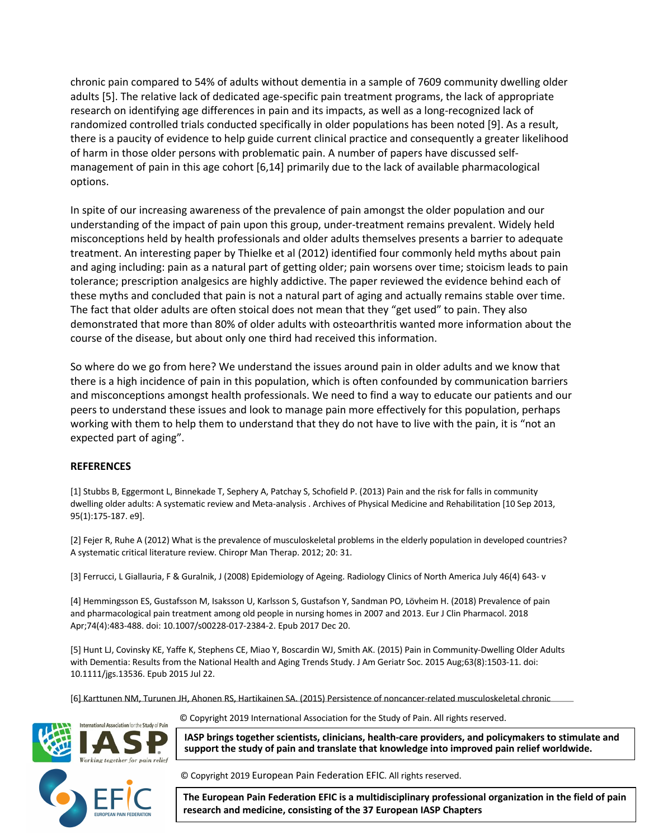chronic pain compared to 54% of adults without dementia in a sample of 7609 community dwelling older adults [5]. The relative lack of dedicated age-specific pain treatment programs, the lack of appropriate research on identifying age differences in pain and its impacts, as well as a long-recognized lack of randomized controlled trials conducted specifically in older populations has been noted [9]. As a result, there is a paucity of evidence to help guide current clinical practice and consequently a greater likelihood of harm in those older persons with problematic pain. A number of papers have discussed selfmanagement of pain in this age cohort [6,14] primarily due to the lack of available pharmacological options.

In spite of our increasing awareness of the prevalence of pain amongst the older population and our understanding of the impact of pain upon this group, under-treatment remains prevalent. Widely held misconceptions held by health professionals and older adults themselves presents a barrier to adequate treatment. An interesting paper by Thielke et al (2012) identified four commonly held myths about pain and aging including: pain as a natural part of getting older; pain worsens over time; stoicism leads to pain tolerance; prescription analgesics are highly addictive. The paper reviewed the evidence behind each of these myths and concluded that pain is not a natural part of aging and actually remains stable over time. The fact that older adults are often stoical does not mean that they "get used" to pain. They also demonstrated that more than 80% of older adults with osteoarthritis wanted more information about the course of the disease, but about only one third had received this information.

So where do we go from here? We understand the issues around pain in older adults and we know that there is a high incidence of pain in this population, which is often confounded by communication barriers and misconceptions amongst health professionals. We need to find a way to educate our patients and our peers to understand these issues and look to manage pain more effectively for this population, perhaps working with them to help them to understand that they do not have to live with the pain, it is "not an expected part of aging".

## **REFERENCES**

[1] Stubbs B, Eggermont L, Binnekade T, Sephery A, Patchay S, Schofield P. (2013) Pain and the risk for falls in community dwelling older adults: A systematic review and Meta-analysis . Archives of Physical Medicine and Rehabilitation [10 Sep 2013, 95(1):175-187. e9].

[2] Fejer R, Ruhe A (2012) What is the prevalence of musculoskeletal problems in the elderly population in developed countries? A systematic critical literature review. Chiropr Man Therap. 2012; 20: 31.

[3] Ferrucci, L Giallauria, F & Guralnik, J (2008) Epidemiology of Ageing. Radiology Clinics of North America July 46(4) 643- v

[4] Hemmingsson ES, Gustafsson M, Isaksson U, Karlsson S, Gustafson Y, Sandman PO, Lövheim H. (2018) Prevalence of pain and pharmacological pain treatment among old people in nursing homes in 2007 and 2013. Eur J Clin Pharmacol. 2018 Apr;74(4):483-488. doi: 10.1007/s00228-017-2384-2. Epub 2017 Dec 20.

[5] Hunt LJ, Covinsky KE, Yaffe K, Stephens CE, Miao Y, Boscardin WJ, Smith AK. (2015) Pain in Community-Dwelling Older Adults with Dementia: Results from the National Health and Aging Trends Study. J Am Geriatr Soc. 2015 Aug;63(8):1503-11. doi: 10.1111/jgs.13536. Epub 2015 Jul 22.

[6] Karttunen NM, Turunen JH, Ahonen RS, Hartikainen SA. (2015) Persistence of noncancer-related musculoskeletal chronic



© Copyright 2019 International Association for the Study of Pain. All rights reserved.

**IASP brings together scientists, clinicians, health-care providers, and policymakers to stimulate and support the study of pain and translate that knowledge into improved pain relief worldwide.**

© Copyright 2019 European Pain Federation EFIC. All rights reserved.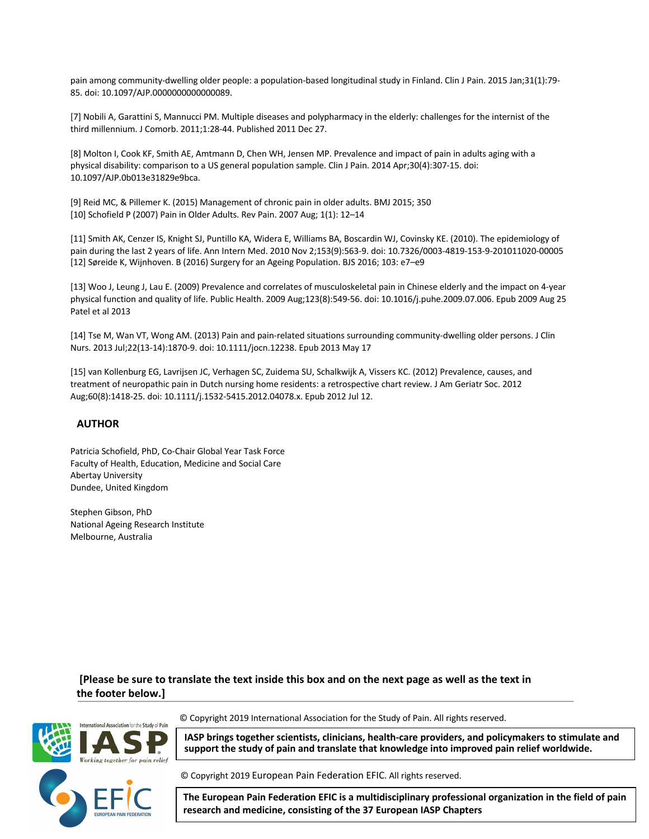pain among community-dwelling older people: a population-based longitudinal study in Finland. Clin J Pain. 2015 Jan;31(1):79- 85. doi: 10.1097/AJP.0000000000000089.

[7] Nobili A, Garattini S, Mannucci PM. Multiple diseases and polypharmacy in the elderly: challenges for the internist of the third millennium. J Comorb. 2011;1:28-44. Published 2011 Dec 27.

[8] Molton I, Cook KF, Smith AE, Amtmann D, Chen WH, Jensen MP. Prevalence and impact of pain in adults aging with a physical disability: comparison to a US general population sample. Clin J Pain. 2014 Apr;30(4):307-15. doi: 10.1097/AJP.0b013e31829e9bca.

[9] Reid MC, & Pillemer K. (2015) Management of chronic pain in older adults. BMJ 2015; 350 [10] Schofield P (2007) Pain in Older Adults. Rev Pain. 2007 Aug; 1(1): 12–14

[11] Smith AK, Cenzer IS, Knight SJ, Puntillo KA, Widera E, Williams BA, Boscardin WJ, Covinsky KE. (2010). The epidemiology of pain during the last 2 years of life. Ann Intern Med. 2010 Nov 2;153(9):563-9. doi: 10.7326/0003-4819-153-9-201011020-00005 [12] Søreide K, Wijnhoven. B (2016) Surgery for an Ageing Population. BJS 2016; 103: e7–e9

[13] Woo J, Leung J, Lau E. (2009) Prevalence and correlates of musculoskeletal pain in Chinese elderly and the impact on 4-year physical function and quality of life. Public Health. 2009 Aug;123(8):549-56. doi: 10.1016/j.puhe.2009.07.006. Epub 2009 Aug 25 Patel et al 2013

[14] Tse M, Wan VT, Wong AM. (2013) Pain and pain-related situations surrounding community-dwelling older persons. J Clin Nurs. 2013 Jul;22(13-14):1870-9. doi: 10.1111/jocn.12238. Epub 2013 May 17

[15] van Kollenburg EG, Lavrijsen JC, Verhagen SC, Zuidema SU, Schalkwijk A, Vissers KC. (2012) Prevalence, causes, and treatment of neuropathic pain in Dutch nursing home residents: a retrospective chart review. J Am Geriatr Soc. 2012 Aug;60(8):1418-25. doi: 10.1111/j.1532-5415.2012.04078.x. Epub 2012 Jul 12.

#### **AUTHOR**

Patricia Schofield, PhD, Co-Chair Global Year Task Force Faculty of Health, Education, Medicine and Social Care Abertay University Dundee, United Kingdom

Stephen Gibson, PhD National Ageing Research Institute Melbourne, Australia

**[Please be sure to translate the text inside this box and on the next page as well as the text in the footer below.]**



© Copyright 2019 International Association for the Study of Pain. All rights reserved.

**IASP brings together scientists, clinicians, health-care providers, and policymakers to stimulate and support the study of pain and translate that knowledge into improved pain relief worldwide.**

© Copyright 2019 European Pain Federation EFIC. All rights reserved.